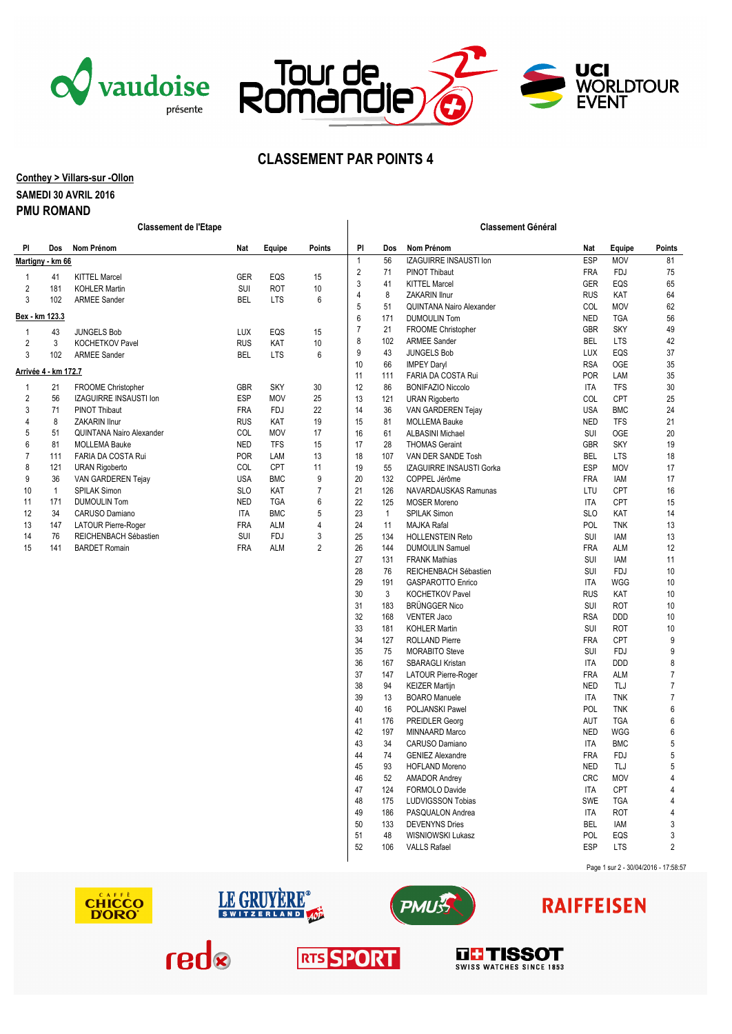





# **CLASSEMENT PAR POINTS 4**

#### **Conthey > Villars-sur -Ollon**

### **SAMEDI 30 AVRIL 2016**

#### **PMU ROMAND**

| <b>PI</b>                | Dos          | Nom Prénom                    | Nat        | Equipe     | <b>Points</b> | PI                            | <b>Dos</b> | Nom Prénom                      | <b>Nat</b> | Equipe     | Points |
|--------------------------|--------------|-------------------------------|------------|------------|---------------|-------------------------------|------------|---------------------------------|------------|------------|--------|
| <u> Martigny - km 66</u> |              |                               |            | 1          | 56            | <b>IZAGUIRRE INSAUSTI Ion</b> | <b>ESP</b> | <b>MOV</b>                      | 81         |            |        |
|                          | 41           | <b>KITTEL Marcel</b>          | <b>GER</b> | EQS        | 15            | $\overline{2}$                | 71         | PINOT Thibaut                   | <b>FRA</b> | <b>FDJ</b> | 75     |
| 2                        | 181          | <b>KOHLER Martin</b>          | SUI        | <b>ROT</b> | 10            | 3                             | 41         | <b>KITTEL Marcel</b>            | <b>GER</b> | EQS        | 65     |
| 3                        | 102          | <b>ARMEE Sander</b>           | <b>BEL</b> | <b>LTS</b> | 6             | 4                             | 8          | <b>ZAKARIN Ilnur</b>            | <b>RUS</b> | KAT        | 64     |
|                          |              |                               |            |            |               | 5                             | 51         | <b>QUINTANA Nairo Alexander</b> | COL        | <b>MOV</b> | 62     |
| Bex - km 123.3           |              |                               |            |            |               | 6                             | 171        | <b>DUMOULIN Tom</b>             | <b>NED</b> | <b>TGA</b> | 56     |
|                          | 43           | <b>JUNGELS Bob</b>            | <b>LUX</b> | EQS        | 15            |                               | 21         | FROOME Christopher              | <b>GBR</b> | <b>SKY</b> | 49     |
| $\overline{2}$           | 3            | <b>KOCHETKOV Pavel</b>        | <b>RUS</b> | <b>KAT</b> | 10            | 8                             | 102        | <b>ARMEE Sander</b>             | <b>BEL</b> | <b>LTS</b> | 42     |
| 3                        | 102          | <b>ARMEE Sander</b>           | <b>BEL</b> | <b>LTS</b> | 6             | 9                             | 43         | <b>JUNGELS Bob</b>              | LUX        | EQS        | 37     |
|                          |              |                               |            |            |               | 10                            | 66         | <b>IMPEY Darvl</b>              | <b>RSA</b> | OGE        | 35     |
| Arrivée 4 - km 172.7     |              |                               |            |            |               | 11                            | 111        | FARIA DA COSTA Rui              | <b>POR</b> | LAM        | 35     |
|                          | 21           | <b>FROOME Christopher</b>     | <b>GBR</b> | <b>SKY</b> | 30            | 12                            | 86         | <b>BONIFAZIO Niccolo</b>        | <b>ITA</b> | <b>TFS</b> | 30     |
| $\overline{2}$           | 56           | <b>IZAGUIRRE INSAUSTI Ion</b> | ESP        | <b>MOV</b> | 25            | 13                            | 121        | <b>URAN Rigoberto</b>           | COL        | CPT        | 25     |
| 3                        | 71           | PINOT Thibaut                 | <b>FRA</b> | <b>FDJ</b> | 22            | 14                            | 36         | VAN GARDEREN Tejay              | <b>USA</b> | <b>BMC</b> | 24     |
|                          | 8            | <b>ZAKARIN Ilnur</b>          | <b>RUS</b> | KAT        | 19            | 15                            | 81         | <b>MOLLEMA Bauke</b>            | <b>NED</b> | <b>TFS</b> | 21     |
| 5                        | 51           | QUINTANA Nairo Alexander      | COL        | <b>MOV</b> | 17            | 16                            | 61         | <b>ALBASINI Michael</b>         | SUI        | OGE        | 20     |
| 6                        | 81           | <b>MOLLEMA Bauke</b>          | <b>NED</b> | <b>TFS</b> | 15            | 17                            | 28         | <b>THOMAS Geraint</b>           | <b>GBR</b> | <b>SKY</b> | 19     |
| 7                        | 111          | FARIA DA COSTA Rui            | <b>POR</b> | LAM        | 13            | 18                            | 107        | VAN DER SANDE Tosh              | <b>BEL</b> | <b>LTS</b> | 18     |
| 8                        | 121          | <b>URAN Rigoberto</b>         | COL        | CPT        | 11            | 19                            | 55         | <b>IZAGUIRRE INSAUSTI Gorka</b> | <b>ESP</b> | <b>MOV</b> | 17     |
| 9                        | 36           | VAN GARDEREN Tejay            | <b>USA</b> | <b>BMC</b> | 9             | 20                            | 132        | COPPEL Jérôme                   | <b>FRA</b> | <b>IAM</b> | 17     |
| 10                       | $\mathbf{1}$ | SPILAK Simon                  | <b>SLO</b> | KAT        | 7             | 21                            | 126        | NAVARDAUSKAS Ramunas            | LTU        | <b>CPT</b> | 16     |
| 11                       | 171          | <b>DUMOULIN Tom</b>           | <b>NED</b> | <b>TGA</b> | 6             | 22                            | 125        | <b>MOSER Moreno</b>             | <b>ITA</b> | CPT        | 15     |
| 12                       | 34           | CARUSO Damiano                | <b>ITA</b> | <b>BMC</b> | 5             | 23                            |            | <b>SPILAK Simon</b>             | <b>SLO</b> | KAT        | 14     |
| 13                       | 147          | LATOUR Pierre-Roger           | <b>FRA</b> | <b>ALM</b> | 4             | 24                            | 11         | <b>MAJKA Rafal</b>              | POL        | <b>TNK</b> | 13     |
| 14                       | 76           | REICHENBACH Sébastien         | SUI        | <b>FDJ</b> | 3             | 25                            | 134        | <b>HOLLENSTEIN Reto</b>         | SUI        | <b>IAM</b> | 13     |
| 15                       | 141          | <b>BARDET Romain</b>          | <b>FRA</b> | <b>ALM</b> | 2             | 26                            | 144        | <b>DUMOULIN Samuel</b>          | <b>FRA</b> | <b>ALM</b> | 12     |
|                          |              |                               |            |            |               | 27                            | 131        | <b>FRANK Mathias</b>            | SUI        | <b>IAM</b> | 11     |
|                          |              |                               |            |            |               |                               |            |                                 |            |            |        |

**Classement de l'Etape Classement Général**

| <b>Classement Général</b> |     |                                 |            |            |                |  |  |  |  |
|---------------------------|-----|---------------------------------|------------|------------|----------------|--|--|--|--|
| PI                        | Dos | Nom Prénom                      | Nat        | Equipe     | <b>Points</b>  |  |  |  |  |
| 1                         | 56  | <b>IZAGUIRRE INSAUSTI Ion</b>   | <b>ESP</b> | <b>MOV</b> | 81             |  |  |  |  |
| 2                         | 71  | <b>PINOT Thibaut</b>            | <b>FRA</b> | <b>FDJ</b> | 75             |  |  |  |  |
| 3                         | 41  | <b>KITTEL Marcel</b>            | <b>GER</b> | EQS        | 65             |  |  |  |  |
| 4                         | 8   | <b>ZAKARIN Ilnur</b>            | <b>RUS</b> | KAT        | 64             |  |  |  |  |
| 5                         | 51  | <b>QUINTANA Nairo Alexander</b> | COL        | MOV        | 62             |  |  |  |  |
| 6                         | 171 | <b>DUMOULIN Tom</b>             | <b>NED</b> | <b>TGA</b> | 56             |  |  |  |  |
| 7                         | 21  | FROOME Christopher              | GBR        | <b>SKY</b> | 49             |  |  |  |  |
| 8                         | 102 | <b>ARMEE Sander</b>             | BEL        | LTS        | 42             |  |  |  |  |
| 9                         | 43  | <b>JUNGELS Bob</b>              | LUX        | EQS        | 37             |  |  |  |  |
| 10                        | 66  | <b>IMPEY Daryl</b>              | <b>RSA</b> | <b>OGE</b> | 35             |  |  |  |  |
| 11                        | 111 | FARIA DA COSTA Rui              | POR        | LAM        | 35             |  |  |  |  |
| 12                        | 86  | <b>BONIFAZIO Niccolo</b>        | <b>ITA</b> | <b>TFS</b> | 30             |  |  |  |  |
| 13                        | 121 | <b>URAN Rigoberto</b>           | COL        | CPT        | 25             |  |  |  |  |
| 14                        | 36  | VAN GARDEREN Tejay              | <b>USA</b> | <b>BMC</b> | 24             |  |  |  |  |
| 15                        | 81  | <b>MOLLEMA Bauke</b>            | <b>NED</b> | <b>TFS</b> | 21             |  |  |  |  |
| 16                        | 61  | <b>ALBASINI Michael</b>         | SUI        | <b>OGE</b> | 20             |  |  |  |  |
| 17                        | 28  | <b>THOMAS Geraint</b>           | GBR        | <b>SKY</b> | 19             |  |  |  |  |
| 18                        | 107 | VAN DER SANDE Tosh              | <b>BEL</b> | <b>LTS</b> | 18             |  |  |  |  |
| 19                        | 55  | <b>IZAGUIRRE INSAUSTI Gorka</b> | <b>ESP</b> | MOV        | 17             |  |  |  |  |
| 20                        | 132 | COPPEL Jérôme                   | <b>FRA</b> | <b>IAM</b> | 17             |  |  |  |  |
| 21                        | 126 | NAVARDAUSKAS Ramunas            | LTU        | <b>CPT</b> | 16             |  |  |  |  |
| 22                        | 125 | <b>MOSER Moreno</b>             | ITA        | <b>CPT</b> | 15             |  |  |  |  |
| 23                        | 1   | <b>SPILAK Simon</b>             | <b>SLO</b> | KAT        | 14             |  |  |  |  |
| 24                        | 11  | <b>MAJKA Rafal</b>              | POL        | <b>TNK</b> | 13             |  |  |  |  |
| 25                        | 134 | <b>HOLLENSTEIN Reto</b>         | SUI        | <b>IAM</b> | 13             |  |  |  |  |
| 26                        | 144 | <b>DUMOULIN Samuel</b>          | <b>FRA</b> | ALM        | 12             |  |  |  |  |
| 27                        | 131 | <b>FRANK Mathias</b>            | SUI        | <b>IAM</b> | 11             |  |  |  |  |
| 28                        | 76  | REICHENBACH Sébastien           | SUI        | <b>FDJ</b> | 10             |  |  |  |  |
| 29                        | 191 | <b>GASPAROTTO Enrico</b>        | <b>ITA</b> | WGG        | 10             |  |  |  |  |
| 30                        | 3   | KOCHETKOV Pavel                 | <b>RUS</b> | KAT        | 10             |  |  |  |  |
| 31                        | 183 | <b>BRÜNGGER Nico</b>            | SUI        | <b>ROT</b> | 10             |  |  |  |  |
| 32                        | 168 | <b>VENTER Jaco</b>              | <b>RSA</b> | <b>DDD</b> | 10             |  |  |  |  |
| 33                        | 181 | <b>KOHLER Martin</b>            | SUI        | <b>ROT</b> | 10             |  |  |  |  |
| 34                        | 127 | <b>ROLLAND Pierre</b>           | <b>FRA</b> | CPT        | 9              |  |  |  |  |
| 35                        | 75  | <b>MORABITO Steve</b>           | SUI        | <b>FDJ</b> | 9              |  |  |  |  |
| 36                        | 167 | <b>SBARAGLI Kristan</b>         | <b>ITA</b> | DDD        | 8              |  |  |  |  |
| 37                        | 147 | <b>LATOUR Pierre-Roger</b>      | <b>FRA</b> | ALM        | 7              |  |  |  |  |
| 38                        | 94  | <b>KEIZER Martijn</b>           | <b>NED</b> | TLJ        | 7              |  |  |  |  |
| 39                        | 13  | <b>BOARO</b> Manuele            | <b>ITA</b> | <b>TNK</b> | 7              |  |  |  |  |
| 40                        | 16  | POLJANSKI Pawel                 | POL        | <b>TNK</b> | 6              |  |  |  |  |
| 41                        | 176 | <b>PREIDLER Georg</b>           | AUT        | <b>TGA</b> | 6              |  |  |  |  |
| 42                        | 197 | MINNAARD Marco                  | <b>NED</b> | <b>WGG</b> | 6              |  |  |  |  |
| 43                        | 34  | CARUSO Damiano                  | <b>ITA</b> | <b>BMC</b> | 5              |  |  |  |  |
| 44                        | 74  | <b>GENIEZ Alexandre</b>         | FRA        | <b>FDJ</b> | 5              |  |  |  |  |
| 45                        | 93  | <b>HOFLAND Moreno</b>           | NED        | TLJ        | 5              |  |  |  |  |
| 46                        | 52  | <b>AMADOR Andrey</b>            | <b>CRC</b> | <b>MOV</b> | 4              |  |  |  |  |
| 47                        | 124 | FORMOLO Davide                  | <b>ITA</b> | <b>CPT</b> | $\overline{4}$ |  |  |  |  |
| 48                        | 175 | <b>LUDVIGSSON Tobias</b>        | <b>SWE</b> | <b>TGA</b> | 4              |  |  |  |  |
| 49                        | 186 | PASQUALON Andrea                | <b>ITA</b> | <b>ROT</b> | 4              |  |  |  |  |
| 50                        | 133 | <b>DEVENYNS Dries</b>           | <b>BEL</b> | <b>IAM</b> | 3              |  |  |  |  |
| 51                        | 48  | <b>WISNIOWSKI Lukasz</b>        | POL        | EQS        | 3              |  |  |  |  |
| 52                        | 106 | <b>VALLS Rafael</b>             | <b>ESP</b> | <b>LTS</b> | $\overline{2}$ |  |  |  |  |
|                           |     |                                 |            |            |                |  |  |  |  |









# **RAIFFEISEN**